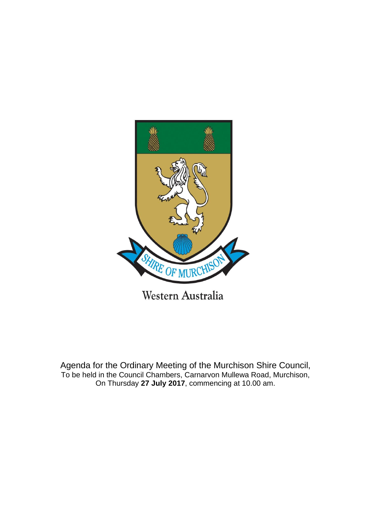

Agenda for the Ordinary Meeting of the Murchison Shire Council, To be held in the Council Chambers, Carnarvon Mullewa Road, Murchison,

On Thursday **27 July 2017**, commencing at 10.00 am.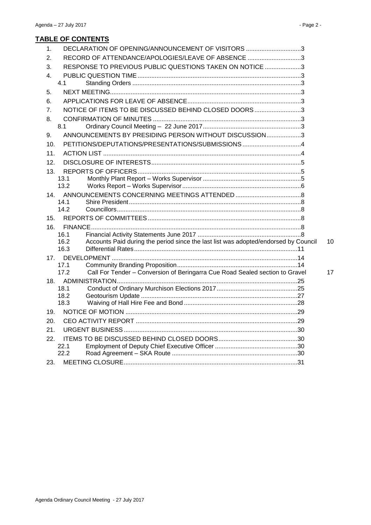# **TABLE OF CONTENTS**

| $\mathbf{1}$ .   | DECLARATION OF OPENING/ANNOUNCEMENT OF VISITORS 3       |                                                                                     |    |
|------------------|---------------------------------------------------------|-------------------------------------------------------------------------------------|----|
| 2.               | RECORD OF ATTENDANCE/APOLOGIES/LEAVE OF ABSENCE 3       |                                                                                     |    |
| 3.               | RESPONSE TO PREVIOUS PUBLIC QUESTIONS TAKEN ON NOTICE 3 |                                                                                     |    |
| 4.               |                                                         |                                                                                     |    |
|                  | 4.1                                                     |                                                                                     |    |
| 5.               |                                                         |                                                                                     |    |
| 6.               |                                                         |                                                                                     |    |
| $\overline{7}$ . | NOTICE OF ITEMS TO BE DISCUSSED BEHIND CLOSED DOORS3    |                                                                                     |    |
| 8.               |                                                         |                                                                                     |    |
|                  | 8.1                                                     |                                                                                     |    |
| 9.               | ANNOUNCEMENTS BY PRESIDING PERSON WITHOUT DISCUSSION3   |                                                                                     |    |
| 10.              | PETITIONS/DEPUTATIONS/PRESENTATIONS/SUBMISSIONS 4       |                                                                                     |    |
| 11.              |                                                         |                                                                                     |    |
| 12.              |                                                         |                                                                                     |    |
| 13.              |                                                         |                                                                                     |    |
|                  | 13.1                                                    |                                                                                     |    |
|                  | 13.2                                                    |                                                                                     |    |
| 14.              | 14.1                                                    |                                                                                     |    |
|                  | 14.2                                                    |                                                                                     |    |
| 15.              |                                                         |                                                                                     |    |
| 16.              |                                                         |                                                                                     |    |
|                  | 16.1                                                    |                                                                                     |    |
|                  | 16.2                                                    | Accounts Paid during the period since the last list was adopted/endorsed by Council | 10 |
|                  | 16.3                                                    |                                                                                     |    |
|                  | 17 <sub>1</sub>                                         |                                                                                     |    |
|                  | 17.1<br>17.2                                            | Call For Tender - Conversion of Beringarra Cue Road Sealed section to Gravel        | 17 |
|                  | 18.                                                     |                                                                                     |    |
|                  | 18.1                                                    |                                                                                     |    |
|                  | 18.2                                                    |                                                                                     |    |
|                  | 18.3                                                    |                                                                                     |    |
| 19.              |                                                         |                                                                                     |    |
| 20.              |                                                         |                                                                                     |    |
| 21.              |                                                         |                                                                                     |    |
| 22.              |                                                         |                                                                                     |    |
|                  | 22.1                                                    |                                                                                     |    |
|                  | 22.2                                                    |                                                                                     |    |
| 23.              |                                                         |                                                                                     |    |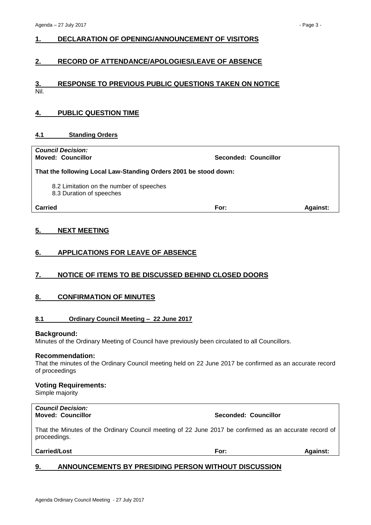# <span id="page-2-0"></span>**1. DECLARATION OF OPENING/ANNOUNCEMENT OF VISITORS**

# <span id="page-2-1"></span>**2. RECORD OF ATTENDANCE/APOLOGIES/LEAVE OF ABSENCE**

# <span id="page-2-2"></span>**3. RESPONSE TO PREVIOUS PUBLIC QUESTIONS TAKEN ON NOTICE** Nil.

# <span id="page-2-3"></span>**4. PUBLIC QUESTION TIME**

# <span id="page-2-4"></span>**4.1 Standing Orders**

| <b>Council Decision:</b><br><b>Moved: Councillor</b>                 | Seconded: Councillor |                 |
|----------------------------------------------------------------------|----------------------|-----------------|
| That the following Local Law-Standing Orders 2001 be stood down:     |                      |                 |
| 8.2 Limitation on the number of speeches<br>8.3 Duration of speeches |                      |                 |
| <b>Carried</b>                                                       | For:                 | <b>Against:</b> |

# <span id="page-2-5"></span>**5. NEXT MEETING**

# <span id="page-2-6"></span>**6. APPLICATIONS FOR LEAVE OF ABSENCE**

# <span id="page-2-7"></span>**7. NOTICE OF ITEMS TO BE DISCUSSED BEHIND CLOSED DOORS**

# <span id="page-2-8"></span>**8. CONFIRMATION OF MINUTES**

# <span id="page-2-9"></span>**8.1 Ordinary Council Meeting – 22 June 2017**

#### **Background:**

Minutes of the Ordinary Meeting of Council have previously been circulated to all Councillors.

#### **Recommendation:**

That the minutes of the Ordinary Council meeting held on 22 June 2017 be confirmed as an accurate record of proceedings

### **Voting Requirements:**

Simple majority

# *Council Decision:*

**Moved: Councillor Seconded: Councillor**

That the Minutes of the Ordinary Council meeting of 22 June 2017 be confirmed as an accurate record of proceedings.

| For: | <b>Against:</b> |
|------|-----------------|
|      |                 |

# <span id="page-2-10"></span>**9. ANNOUNCEMENTS BY PRESIDING PERSON WITHOUT DISCUSSION**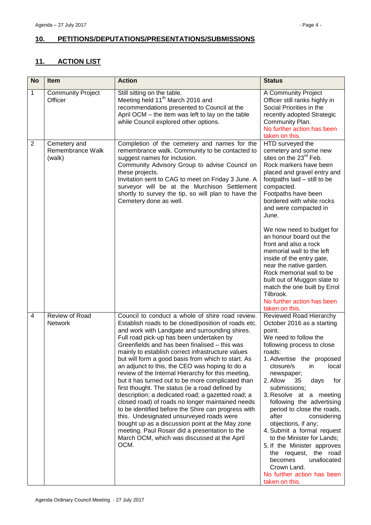# <span id="page-3-0"></span>**10. PETITIONS/DEPUTATIONS/PRESENTATIONS/SUBMISSIONS**

# <span id="page-3-1"></span>**11. ACTION LIST**

| <b>No</b>      | <b>Item</b>                                | <b>Action</b>                                                                                                                                                                                                                                                                                                                                                                                                                                                                                                                                                                                                                                                                                                                                                                                                                                                                                                                                             | <b>Status</b>                                                                                                                                                                                                                                                                                                                                                                                                                                                                                                                                                                                               |
|----------------|--------------------------------------------|-----------------------------------------------------------------------------------------------------------------------------------------------------------------------------------------------------------------------------------------------------------------------------------------------------------------------------------------------------------------------------------------------------------------------------------------------------------------------------------------------------------------------------------------------------------------------------------------------------------------------------------------------------------------------------------------------------------------------------------------------------------------------------------------------------------------------------------------------------------------------------------------------------------------------------------------------------------|-------------------------------------------------------------------------------------------------------------------------------------------------------------------------------------------------------------------------------------------------------------------------------------------------------------------------------------------------------------------------------------------------------------------------------------------------------------------------------------------------------------------------------------------------------------------------------------------------------------|
| 1              | <b>Community Project</b><br>Officer        | Still sitting on the table.<br>Meeting held 11 <sup>th</sup> March 2016 and<br>recommendations presented to Council at the<br>April OCM – the item was left to lay on the table<br>while Council explored other options.                                                                                                                                                                                                                                                                                                                                                                                                                                                                                                                                                                                                                                                                                                                                  | A Community Project<br>Officer still ranks highly in<br>Social Priorities in the<br>recently adopted Strategic<br>Community Plan.<br>No further action has been<br>taken on this.                                                                                                                                                                                                                                                                                                                                                                                                                           |
| $\overline{2}$ | Cemetery and<br>Remembrance Walk<br>(walk) | Completion of the cemetery and names for the<br>remembrance walk. Community to be contacted to<br>suggest names for inclusion.<br>Community Advisory Group to advise Council on<br>these projects.<br>Invitation sent to CAG to meet on Friday 3 June. A<br>surveyor will be at the Murchison Settlement<br>shortly to survey the tip, so will plan to have the<br>Cemetery done as well.                                                                                                                                                                                                                                                                                                                                                                                                                                                                                                                                                                 | HTD surveyed the<br>cemetery and some new<br>sites on the 23 <sup>rd</sup> Feb.<br>Rock markers have been<br>placed and gravel entry and<br>footpaths laid - still to be<br>compacted.<br>Footpaths have been<br>bordered with white rocks<br>and were compacted in<br>June.<br>We now need to budget for                                                                                                                                                                                                                                                                                                   |
|                |                                            |                                                                                                                                                                                                                                                                                                                                                                                                                                                                                                                                                                                                                                                                                                                                                                                                                                                                                                                                                           | an honour board out the<br>front and also a rock<br>memorial wall to the left<br>inside of the entry gate,<br>near the native garden.<br>Rock memorial wall to be<br>built out of Muggon slate to<br>match the one built by Errol<br>Tilbrook.<br>No further action has been<br>taken on this.                                                                                                                                                                                                                                                                                                              |
| 4              | Review of Road<br>Network                  | Council to conduct a whole of shire road review.<br>Establish roads to be closed/position of roads etc.<br>and work with Landgate and surrounding shires.<br>Full road pick-up has been undertaken by<br>Greenfields and has been finalised - this was<br>mainly to establish correct infrastructure values<br>but will form a good basis from which to start. As<br>an adjunct to this, the CEO was hoping to do a<br>review of the Internal Hierarchy for this meeting,<br>but it has turned out to be more complicated than<br>first thought. The status (ie a road defined by<br>description; a dedicated road; a gazetted road; a<br>closed road) of roads no longer maintained needs<br>to be identified before the Shire can progress with<br>this. Undesignated unsurveyed roads were<br>bought up as a discussion point at the May zone<br>meeting. Paul Rosair did a presentation to the<br>March OCM, which was discussed at the April<br>OCM. | Reviewed Road Hierarchy<br>October 2016 as a starting<br>point.<br>We need to follow the<br>following process to close<br>roads:<br>1. Advertise the proposed<br>closure/s<br>local<br>in.<br>newspaper;<br>2. Allow<br>days<br>for<br>35<br>submissions;<br>3. Resolve at a meeting<br>following the advertising<br>period to close the roads,<br>after<br>considering<br>objections, if any;<br>4. Submit a formal request<br>to the Minister for Lands;<br>5. If the Minister approves<br>the request, the road<br>becomes<br>unallocated<br>Crown Land.<br>No further action has been<br>taken on this. |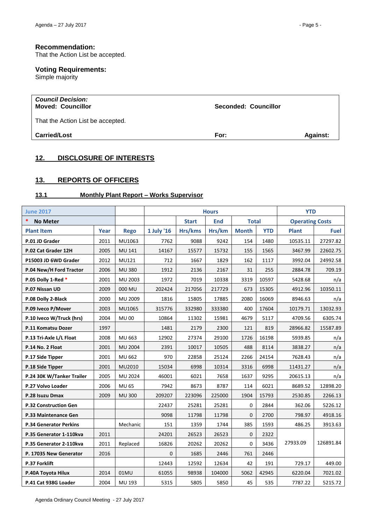# **Recommendation:**

That the Action List be accepted.

# **Voting Requirements:**

Simple majority

| <b>Council Decision:</b><br><b>Moved: Councillor</b> | Seconded: Councillor |                 |
|------------------------------------------------------|----------------------|-----------------|
| That the Action List be accepted.                    |                      |                 |
| <b>Carried/Lost</b>                                  | For:                 | <b>Against:</b> |

# <span id="page-4-0"></span>**12. DISCLOSURE OF INTERESTS**

# <span id="page-4-1"></span>**13. REPORTS OF OFFICERS**

# <span id="page-4-2"></span>**13.1 Monthly Plant Report – Works Supervisor**

| <b>June 2017</b>                |                 |               |             | <b>Hours</b> |            |              |            | <b>YTD</b>             |           |
|---------------------------------|-----------------|---------------|-------------|--------------|------------|--------------|------------|------------------------|-----------|
| $\ast$<br><b>No Meter</b>       |                 |               |             | <b>Start</b> | <b>End</b> | <b>Total</b> |            | <b>Operating Costs</b> |           |
| <b>Plant Item</b>               | Year            | <b>Rego</b>   | 1 July '16  | Hrs/kms      | Hrs/km     | <b>Month</b> | <b>YTD</b> | <b>Plant</b>           | Fuel      |
| P.01 JD Grader                  | 2011            | MU1063        | 7762        | 9088         | 9242       | 154          | 1480       | 10535.11               | 27297.82  |
| P.02 Cat Grader 12H             | 2005            | <b>MU 141</b> | 14167       | 15577        | 15732      | 155          | 1565       | 3467.99                | 22602.75  |
| P15003 JD 6WD Grader            | 2012            | MU121         | 712         | 1667         | 1829       | 162          | 1117       | 3992.04                | 24992.58  |
| P.04 New/H Ford Tractor         | 2006            | <b>MU 380</b> | 1912        | 2136         | 2167       | 31           | 255        | 2884.78                | 709.19    |
| P.05 Dolly 1-Red *              | 2001            | MU 2003       | 1972        | 7019         | 10338      | 3319         | 10597      | 5428.68                | n/a       |
| P.07 Nissan UD                  | 2009            | 000 MU        | 202424      | 217056       | 217729     | 673          | 15305      | 4912.96                | 10350.11  |
| P.08 Dolly 2-Black              | 2000            | MU 2009       | 1816        | 15805        | 17885      | 2080         | 16069      | 8946.63                | n/a       |
| P.09 Iveco P/Mover              | 2003            | MU1065        | 315776      | 332980       | 333380     | 400          | 17604      | 10179.71               | 13032.93  |
| P.10 Iveco W/Truck (hrs)        | 2004            | <b>MU00</b>   | 10864       | 11302        | 15981      | 4679         | 5117       | 4709.56                | 6305.74   |
| P.11 Komatsu Dozer              | 1997            |               | 1481        | 2179         | 2300       | 121          | 819        | 28966.82               | 15587.89  |
| P.13 Tri-Axle L/L Float         | 2008            | MU 663        | 12902       | 27374        | 29100      | 1726         | 16198      | 5939.85                | n/a       |
| P.14 No. 2 Float                | 2001<br>MU 2004 |               | 2391        | 10017        | 10505      | 488          | 8114       | 3838.27                | n/a       |
| P.17 Side Tipper                | 2001            | MU 662        | 970         | 22858        | 25124      | 2266         | 24154      | 7628.43                | n/a       |
| P.18 Side Tipper                | 2001            | MU2010        | 15034       | 6998         | 10314      | 3316         | 6998       | 11431.27               | n/a       |
| P.24 30K W/Tanker Trailer       | 2005            | MU 2024       | 46001       | 6021         | 7658       | 1637         | 9295       | 20615.13               | n/a       |
| P.27 Volvo Loader               | 2006            | <b>MU 65</b>  | 7942        | 8673         | 8787       | 114          | 6021       | 8689.52                | 12898.20  |
| P.28 Isuzu Dmax                 | 2009            | <b>MU 300</b> | 209207      | 223096       | 225000     | 1904         | 15793      | 2530.85                | 2266.13   |
| <b>P.32 Construction Gen</b>    |                 |               | 22437       | 25281        | 25281      | 0            | 2844       | 362.06                 | 5226.12   |
| P.33 Maintenance Gen            |                 |               | 9098        | 11798        | 11798      | $\Omega$     | 2700       | 798.97                 | 4918.16   |
| <b>P.34 Generator Perkins</b>   |                 | Mechanic      | 151         | 1359         | 1744       | 385          | 1593       | 486.25                 | 3913.63   |
| P.35 Generator 1-110kva         | 2011            |               | 24201       | 26523        | 26523      | 0            | 2322       |                        |           |
| P.35 Generator 2-110kva<br>2011 |                 | Replaced      | 16826       | 20262        | 20262      | 0            | 3436       | 27933.09               | 126891.84 |
| 2016<br>P. 17035 New Generator  |                 |               | $\mathbf 0$ | 1685         | 2446       | 761          | 2446       |                        |           |
| P.37 Forklift                   |                 |               | 12443       | 12592        | 12634      | 42           | 191        | 729.17                 | 449.00    |
| P.40A Toyota Hilux              | 2014            | 01MU          | 61055       | 98938        | 104000     | 5062         | 42945      | 6220.04                | 7021.02   |
| P.41 Cat 938G Loader            | 2004            | MU 193        | 5315        | 5805         | 5850       | 45           | 535        | 7787.22                | 5215.72   |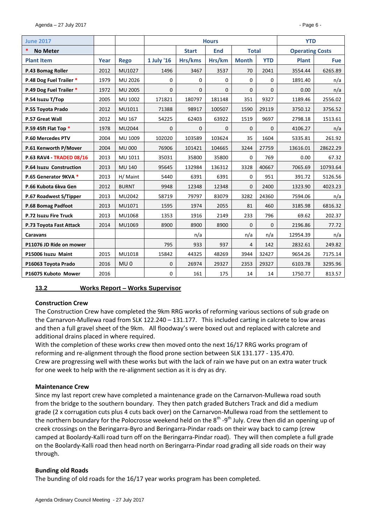| <b>June 2017</b>         |      |                 |             | <b>Hours</b> | <b>YTD</b>                 |              |              |                        |            |
|--------------------------|------|-----------------|-------------|--------------|----------------------------|--------------|--------------|------------------------|------------|
| *<br><b>No Meter</b>     |      |                 |             | <b>Start</b> | <b>End</b><br><b>Total</b> |              |              | <b>Operating Costs</b> |            |
| <b>Plant Item</b>        | Year | <b>Rego</b>     | 1 July '16  | Hrs/kms      | Hrs/km                     | <b>Month</b> | <b>YTD</b>   | <b>Plant</b>           | <b>Fue</b> |
| P.43 Bomag Roller        | 2012 | MU1027          | 1496        | 3467         | 3537                       | 70           | 2041         | 3554.44                | 6265.89    |
| P.48 Dog Fuel Trailer *  | 1979 | MU 2026         | 0           | $\mathbf 0$  | $\mathbf 0$                | 0            | 0            | 1891.40                | n/a        |
| P.49 Dog Fuel Trailer *  | 1972 | <b>MU 2005</b>  | $\Omega$    | $\Omega$     | $\Omega$                   | $\Omega$     | $\mathbf{0}$ | 0.00                   | n/a        |
| P.54 Isuzu T/Top         | 2005 | MU 1002         | 171821      | 180797       | 181148                     | 351          | 9327         | 1189.46                | 2556.02    |
| P.55 Toyota Prado        | 2012 | MU1011          | 71388       | 98917        | 100507                     | 1590         | 29119        | 3750.12                | 3756.52    |
| P.57 Great Wall          | 2012 | MU 167          | 54225       | 62403        | 63922                      | 1519         | 9697         | 2798.18                | 1513.61    |
| P.59 45ft Flat Top *     | 1978 | MU2044          | 0           | 0            | $\mathbf{0}$               | $\Omega$     | $\mathbf{0}$ | 4106.27                | n/a        |
| P.60 Mercedes PTV        | 2004 | MU 1009         | 102020      | 103589       | 103624                     | 35           | 1604         | 5335.81                | 261.92     |
| P.61 Kenworth P/Mover    | 2004 | <b>MU 000</b>   | 76906       | 101421       | 104665                     | 3244         | 27759        | 13616.01               | 28622.29   |
| P.63 RAV4 - TRADED 08/16 | 2013 | MU 1011         | 35031       | 35800        | 35800                      | 0            | 769          | 0.00                   | 67.32      |
| P.64 Isuzu Construction  | 2013 | <b>MU 140</b>   | 95645       | 132984       | 136312                     | 3328         | 40667        | 7065.69                | 10793.64   |
| P.65 Generator 9KVA *    | 2013 | H/ Maint        | 5440        | 6391         | 6391                       | 0            | 951          | 391.72                 | 5126.56    |
| P.66 Kubota 6kva Gen     | 2012 | <b>BURNT</b>    | 9948        | 12348        | 12348                      | $\Omega$     | 2400         | 1323.90                | 4023.23    |
| P.67 Roadwest S/Tipper   | 2013 | MU2042          | 58719       | 79797        | 83079                      | 3282         | 24360        | 7594.06                | n/a        |
| P.68 Bomag Padfoot       | 2013 | MU1071          | 1595        | 1974         | 2055                       | 81           | 460          | 3185.98                | 6816.32    |
| P.72 Isuzu Fire Truck    | 2013 | MU1068          | 1353        | 1916         | 2149                       | 233          | 796          | 69.62                  | 202.37     |
| P.73 Toyota Fast Attack  | 2014 | MU1069          | 8900        | 8900         | 8900                       | 0            | $\mathbf{0}$ | 2196.86                | 77.72      |
| <b>Caravans</b>          |      |                 |             | n/a          |                            | n/a          | n/a          | 12954.39               | n/a        |
| P11076 JD Ride on mower  |      |                 | 795         | 933          | 937                        | 4            | 142          | 2832.61                | 249.82     |
| P15006 Isuzu Maint       | 2015 | MU1018          | 15842       | 44325        | 48269                      | 3944         | 32427        | 9654.26                | 7175.14    |
| P16063 Toyota Prado      | 2016 | MU <sub>0</sub> | $\mathbf 0$ | 26974        | 29327                      | 2353         | 29327        | 6103.78                | 3295.96    |
| P16075 Kuboto Mower      | 2016 |                 | 0           | 161          | 175                        | 14           | 14           | 1750.77                | 813.57     |

# <span id="page-5-0"></span>**13.2 Works Report – Works Supervisor**

# **Construction Crew**

The Construction Crew have completed the 9km RRG works of reforming various sections of sub grade on the Carnarvon-Mullewa road from SLK 122.240 – 131.177. This included carting in calcrete to low areas and then a full gravel sheet of the 9km. All floodway's were boxed out and replaced with calcrete and additional drains placed in where required.

With the completion of these works crew then moved onto the next 16/17 RRG works program of reforming and re-alignment through the flood prone section between SLK 131.177 - 135.470. Crew are progressing well with these works but with the lack of rain we have put on an extra water truck for one week to help with the re-alignment section as it is dry as dry.

# **Maintenance Crew**

Since my last report crew have completed a maintenance grade on the Carnarvon-Mullewa road south from the bridge to the southern boundary. They then patch graded Butchers Track and did a medium grade (2 x corrugation cuts plus 4 cuts back over) on the Carnarvon-Mullewa road from the settlement to the northern boundary for the Polocrosse weekend held on the 8<sup>th</sup> -9<sup>th</sup> July. Crew then did an opening up of creek crossings on the Beringarra-Byro and Beringarra-Pindar roads on their way back to camp (crew camped at Boolardy-Kalli road turn off on the Beringarra-Pindar road). They will then complete a full grade on the Boolardy-Kalli road then head north on Beringarra-Pindar road grading all side roads on their way through.

# **Bunding old Roads**

The bunding of old roads for the 16/17 year works program has been completed.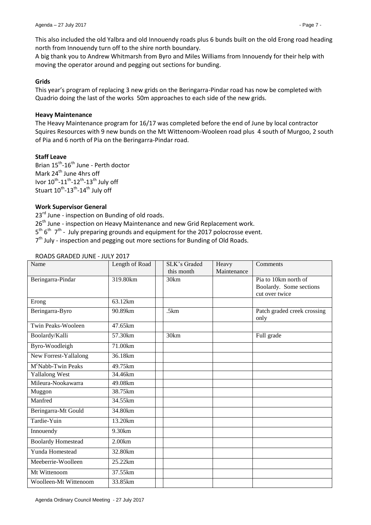This also included the old Yalbra and old Innouendy roads plus 6 bunds built on the old Erong road heading north from Innouendy turn off to the shire north boundary.

A big thank you to Andrew Whitmarsh from Byro and Miles Williams from Innouendy for their help with moving the operator around and pegging out sections for bunding.

# **Grids**

This year's program of replacing 3 new grids on the Beringarra-Pindar road has now be completed with Quadrio doing the last of the works 50m approaches to each side of the new grids.

# **Heavy Maintenance**

The Heavy Maintenance program for 16/17 was completed before the end of June by local contractor Squires Resources with 9 new bunds on the Mt Wittenoom-Wooleen road plus 4 south of Murgoo, 2 south of Pia and 6 north of Pia on the Beringarra-Pindar road.

# **Staff Leave**

Brian 15<sup>th</sup>-16<sup>th</sup> June - Perth doctor Mark  $24<sup>th</sup>$  June 4hrs off Ivor  $10^{th}$ - $11^{th}$ - $12^{th}$ - $13^{th}$  July off Stuart  $10^{\text{th}}$ -13<sup>th</sup>-14<sup>th</sup> July off

# **Work Supervisor General**

23<sup>rd</sup> June - inspection on Bunding of old roads. 26<sup>th</sup> June - inspection on Heavy Maintenance and new Grid Replacement work. 5<sup>th</sup> 6<sup>th</sup> 7<sup>th</sup> - July preparing grounds and equipment for the 2017 polocrosse event. 7<sup>th</sup> July - inspection and pegging out more sections for Bunding of Old Roads.

| Name                           | Length of Road      | SLK's Graded<br>this month | Heavy<br>Maintenance | Comments                                                          |
|--------------------------------|---------------------|----------------------------|----------------------|-------------------------------------------------------------------|
| Beringarra-Pindar              | 319.80km            | 30km                       |                      | Pia to 10km north of<br>Boolardy. Some sections<br>cut over twice |
| Erong                          | 63.12km             |                            |                      |                                                                   |
| Beringarra-Byro                | 90.89km             | .5km                       |                      | Patch graded creek crossing<br>only                               |
| Twin Peaks-Wooleen             | 47.65km             |                            |                      |                                                                   |
| Boolardy/Kalli                 | 57.30km             | 30km                       |                      | Full grade                                                        |
| Byro-Woodleigh                 | 71.00km             |                            |                      |                                                                   |
| New Forrest-Yallalong          | 36.18km             |                            |                      |                                                                   |
| M <sup>c</sup> Nabb-Twin Peaks | 49.75km             |                            |                      |                                                                   |
| <b>Yallalong West</b>          | 34.46km             |                            |                      |                                                                   |
| Mileura-Nookawarra             | 49.08km             |                            |                      |                                                                   |
| Muggon                         | 38.75km             |                            |                      |                                                                   |
| Manfred                        | 34.55km             |                            |                      |                                                                   |
| Beringarra-Mt Gould            | 34.80km             |                            |                      |                                                                   |
| Tardie-Yuin                    | 13.20km             |                            |                      |                                                                   |
| Innouendy                      | $\overline{9.30km}$ |                            |                      |                                                                   |
| <b>Boolardy Homestead</b>      | 2.00km              |                            |                      |                                                                   |
| Yunda Homestead                | 32.80km             |                            |                      |                                                                   |
| Meeberrie-Woolleen             | 25.22km             |                            |                      |                                                                   |
| Mt Wittenoom                   | 37.55km             |                            |                      |                                                                   |
| Woolleen-Mt Wittenoom          | 33.85km             |                            |                      |                                                                   |

# ROADS GRADED JUNE - JULY 2017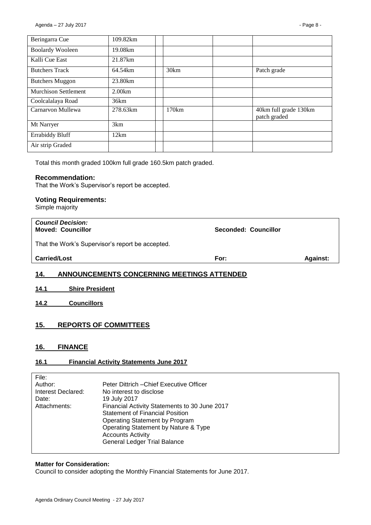| Beringarra Cue              | 109.82km |       |                                       |
|-----------------------------|----------|-------|---------------------------------------|
| <b>Boolardy Wooleen</b>     | 19.08km  |       |                                       |
| Kalli Cue East              | 21.87km  |       |                                       |
| <b>Butchers Track</b>       | 64.54km  | 30km  | Patch grade                           |
| <b>Butchers Muggon</b>      | 23.80km  |       |                                       |
| <b>Murchison Settlement</b> | 2.00km   |       |                                       |
| Coolcalalaya Road           | 36km     |       |                                       |
| Carnarvon Mullewa           | 278.63km | 170km | 40km full grade 130km<br>patch graded |
| Mt Narryer                  | 3km      |       |                                       |
| <b>Errabiddy Bluff</b>      | 12km     |       |                                       |
| Air strip Graded            |          |       |                                       |

Total this month graded 100km full grade 160.5km patch graded.

### **Recommendation:**

That the Work's Supervisor's report be accepted.

### **Voting Requirements:**

Simple majority

| 14.<br>ANNOUNCEMENTS CONCERNING MEETINGS ATTENDED    |                      |                 |  |  |  |  |
|------------------------------------------------------|----------------------|-----------------|--|--|--|--|
| <b>Carried/Lost</b>                                  | For:                 | <b>Against:</b> |  |  |  |  |
| That the Work's Supervisor's report be accepted.     |                      |                 |  |  |  |  |
| <b>Council Decision:</b><br><b>Moved: Councillor</b> | Seconded: Councillor |                 |  |  |  |  |

- <span id="page-7-1"></span><span id="page-7-0"></span>**14.1 Shire President**
- <span id="page-7-2"></span>**14.2 Councillors**

# <span id="page-7-3"></span>**15. REPORTS OF COMMITTEES**

# <span id="page-7-4"></span>**16. FINANCE**

# <span id="page-7-5"></span>**16.1 Financial Activity Statements June 2017**

| File:              |                                               |
|--------------------|-----------------------------------------------|
| Author:            | Peter Dittrich – Chief Executive Officer      |
| Interest Declared: | No interest to disclose                       |
| Date:              | 19 July 2017                                  |
| Attachments:       | Financial Activity Statements to 30 June 2017 |
|                    | <b>Statement of Financial Position</b>        |
|                    | Operating Statement by Program                |
|                    | Operating Statement by Nature & Type          |
|                    | <b>Accounts Activity</b>                      |
|                    | <b>General Ledger Trial Balance</b>           |
|                    |                                               |

#### **Matter for Consideration:**

Council to consider adopting the Monthly Financial Statements for June 2017.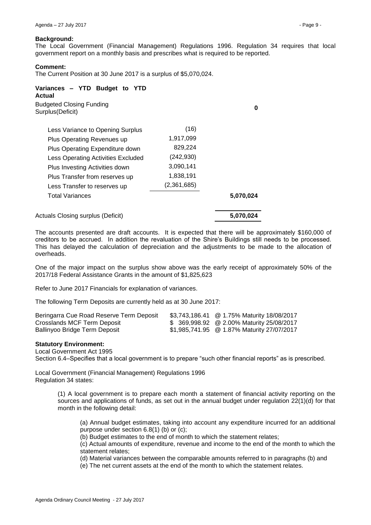### **Background:**

The Local Government (Financial Management) Regulations 1996. Regulation 34 requires that local government report on a monthly basis and prescribes what is required to be reported.

### **Comment:**

The Current Position at 30 June 2017 is a surplus of \$5,070,024.

| Variances - YTD Budget to YTD<br>Actual              |             |           |
|------------------------------------------------------|-------------|-----------|
| <b>Budgeted Closing Funding</b><br>Surplus (Deficit) |             | Ω         |
| Less Variance to Opening Surplus                     | (16)        |           |
| Plus Operating Revenues up                           | 1,917,099   |           |
| Plus Operating Expenditure down                      | 829,224     |           |
| Less Operating Activities Excluded                   | (242, 930)  |           |
| Plus Investing Activities down                       | 3,090,141   |           |
| Plus Transfer from reserves up                       | 1,838,191   |           |
| Less Transfer to reserves up                         | (2,361,685) |           |
| Total Variances                                      |             | 5,070,024 |
| Actuals Closing surplus (Deficit)                    |             | 5,070,024 |

The accounts presented are draft accounts. It is expected that there will be approximately \$160,000 of creditors to be accrued. In addition the revaluation of the Shire's Buildings still needs to be processed. This has delayed the calculation of depreciation and the adjustments to be made to the allocation of overheads.

One of the major impact on the surplus show above was the early receipt of approximately 50% of the 2017/18 Federal Assistance Grants in the amount of \$1,825,623

Refer to June 2017 Financials for explanation of variances.

The following Term Deposits are currently held as at 30 June 2017:

| Beringarra Cue Road Reserve Term Deposit | \$3,743,186.41 @ 1.75% Maturity 18/08/2017 |
|------------------------------------------|--------------------------------------------|
| Crosslands MCF Term Deposit              | \$ 369,998.92 @ 2.00% Maturity 25/08/2017  |
| Ballinyoo Bridge Term Deposit            | \$1,985,741.95 @ 1.87% Maturity 27/07/2017 |

#### **Statutory Environment:**

Local Government Act 1995

Section 6.4–Specifies that a local government is to prepare "such other financial reports" as is prescribed.

Local Government (Financial Management) Regulations 1996 Regulation 34 states:

> (1) A local government is to prepare each month a statement of financial activity reporting on the sources and applications of funds, as set out in the annual budget under regulation 22(1)(d) for that month in the following detail:

(a) Annual budget estimates, taking into account any expenditure incurred for an additional purpose under section 6.8(1) (b) or (c);

(b) Budget estimates to the end of month to which the statement relates;

(c) Actual amounts of expenditure, revenue and income to the end of the month to which the statement relates;

(d) Material variances between the comparable amounts referred to in paragraphs (b) and

(e) The net current assets at the end of the month to which the statement relates.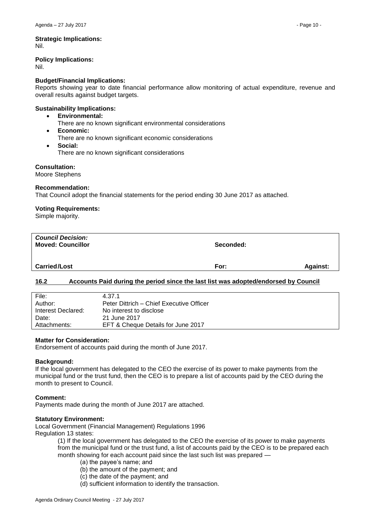# **Policy Implications:**

Nil.

# **Budget/Financial Implications:**

Reports showing year to date financial performance allow monitoring of actual expenditure, revenue and overall results against budget targets.

# **Sustainability Implications:**

- **Environmental:**
	- There are no known significant environmental considerations
- **Economic:**
- There are no known significant economic considerations
- **Social:**
	- There are no known significant considerations

# **Consultation:**

Moore Stephens

# **Recommendation:**

That Council adopt the financial statements for the period ending 30 June 2017 as attached.

# **Voting Requirements:**

Simple majority.

| <b>Council Decision:</b><br><b>Moved: Councillor</b> | Seconded: |                 |
|------------------------------------------------------|-----------|-----------------|
| <b>Carried/Lost</b>                                  | For:      | <b>Against:</b> |

# <span id="page-9-0"></span>**16.2 Accounts Paid during the period since the last list was adopted/endorsed by Council**

| File:              | 4.37.1                                   |
|--------------------|------------------------------------------|
| Author:            | Peter Dittrich – Chief Executive Officer |
| Interest Declared: | No interest to disclose                  |
| Date:              | 21 June 2017                             |
| Attachments:       | EFT & Cheque Details for June 2017       |

# **Matter for Consideration:**

Endorsement of accounts paid during the month of June 2017.

# **Background:**

If the local government has delegated to the CEO the exercise of its power to make payments from the municipal fund or the trust fund, then the CEO is to prepare a list of accounts paid by the CEO during the month to present to Council.

# **Comment:**

Payments made during the month of June 2017 are attached.

# **Statutory Environment:**

Local Government (Financial Management) Regulations 1996 Regulation 13 states:

> (1) If the local government has delegated to the CEO the exercise of its power to make payments from the municipal fund or the trust fund, a list of accounts paid by the CEO is to be prepared each month showing for each account paid since the last such list was prepared —

- (a) the payee's name; and
- (b) the amount of the payment; and
- (c) the date of the payment; and
- (d) sufficient information to identify the transaction.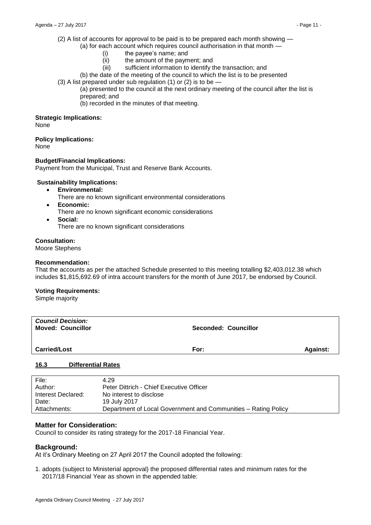(2) A list of accounts for approval to be paid is to be prepared each month showing —

- (a) for each account which requires council authorisation in that month
	- (i) the payee's name; and
	- (ii) the amount of the payment; and
	- (iii) sufficient information to identify the transaction; and
	- (b) the date of the meeting of the council to which the list is to be presented
- $(3)$  A list prepared under sub regulation  $(1)$  or  $(2)$  is to be -
	- (a) presented to the council at the next ordinary meeting of the council after the list is prepared; and
	- (b) recorded in the minutes of that meeting.

#### **Strategic Implications:**

None

#### **Policy Implications:**

None

#### **Budget/Financial Implications:**

Payment from the Municipal, Trust and Reserve Bank Accounts.

#### **Sustainability Implications:**

- **Environmental:**
	- There are no known significant environmental considerations
- **Economic:**
- There are no known significant economic considerations
- **Social:** There are no known significant considerations

### **Consultation:**

Moore Stephens

#### **Recommendation:**

That the accounts as per the attached Schedule presented to this meeting totalling \$2,403,012.38 which includes \$1,815,692.69 of intra account transfers for the month of June 2017, be endorsed by Council.

#### **Voting Requirements:**

Simple majority

| <b>Council Decision:</b><br><b>Moved: Councillor</b> | <b>Seconded: Councillor</b> |                 |
|------------------------------------------------------|-----------------------------|-----------------|
| <b>Carried/Lost</b>                                  | For:                        | <b>Against:</b> |
| $\overline{A}$<br><b>INTERNATIONAL INC.</b>          |                             |                 |

#### <span id="page-10-0"></span>**16.3 Differential Rates**

| File:              | 4.29                                                           |
|--------------------|----------------------------------------------------------------|
| Author:            | Peter Dittrich - Chief Executive Officer                       |
| Interest Declared: | No interest to disclose                                        |
| Date:              | 19 July 2017                                                   |
| Attachments:       | Department of Local Government and Communities – Rating Policy |

#### **Matter for Consideration:**

Council to consider its rating strategy for the 2017-18 Financial Year.

#### **Background:**

At it's Ordinary Meeting on 27 April 2017 the Council adopted the following:

1. adopts (subject to Ministerial approval) the proposed differential rates and minimum rates for the 2017/18 Financial Year as shown in the appended table: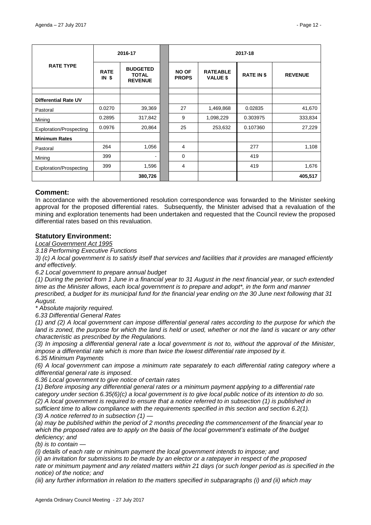|                                | 2016-17                        |                                                   | 2017-18                      |                                    |                   |                |
|--------------------------------|--------------------------------|---------------------------------------------------|------------------------------|------------------------------------|-------------------|----------------|
| <b>RATE TYPE</b>               | <b>RATE</b><br>IN <sub>s</sub> | <b>BUDGETED</b><br><b>TOTAL</b><br><b>REVENUE</b> | <b>NO OF</b><br><b>PROPS</b> | <b>RATEABLE</b><br><b>VALUE \$</b> | <b>RATE IN \$</b> | <b>REVENUE</b> |
|                                |                                |                                                   |                              |                                    |                   |                |
| <b>Differential Rate UV</b>    |                                |                                                   |                              |                                    |                   |                |
| Pastoral                       | 0.0270                         | 39,369                                            | 27                           | 1,469,868                          | 0.02835           | 41,670         |
| Mining                         | 0.2895                         | 317,842                                           | 9                            | 1,098,229                          | 0.303975          | 333,834        |
| Exploration/Prospecting        | 0.0976                         | 20,864                                            | 25                           | 253,632                            | 0.107360          | 27,229         |
| <b>Minimum Rates</b>           |                                |                                                   |                              |                                    |                   |                |
| Pastoral                       | 264                            | 1,056                                             | 4                            |                                    | 277               | 1,108          |
| Mining                         | 399                            |                                                   | 0                            |                                    | 419               |                |
| <b>Exploration/Prospecting</b> | 399                            | 1,596                                             | 4                            |                                    | 419               | 1,676          |
|                                |                                | 380,726                                           |                              |                                    |                   | 405,517        |

### **Comment:**

In accordance with the abovementioned resolution correspondence was forwarded to the Minister seeking approval for the proposed differential rates. Subsequently, the Minister advised that a revaluation of the mining and exploration tenements had been undertaken and requested that the Council review the proposed differential rates based on this revaluation.

# **Statutory Environment:**

*Local Government Act 1995*

*3.18 Performing Executive Functions*

*3) (c) A local government is to satisfy itself that services and facilities that it provides are managed efficiently and effectively.* 

*6.2 Local government to prepare annual budget* 

*(1) During the period from 1 June in a financial year to 31 August in the next financial year, or such extended time as the Minister allows, each local government is to prepare and adopt\*, in the form and manner prescribed, a budget for its municipal fund for the financial year ending on the 30 June next following that 31 August.* 

*\* Absolute majority required.* 

*6.33 Differential General Rates*

*(1) and (2) A local government can impose differential general rates according to the purpose for which the land is zoned, the purpose for which the land is held or used, whether or not the land is vacant or any other characteristic as prescribed by the Regulations.*

*(3) In imposing a differential general rate a local government is not to, without the approval of the Minister, impose a differential rate which is more than twice the lowest differential rate imposed by it. 6.35 Minimum Payments*

*(6) A local government can impose a minimum rate separately to each differential rating category where a differential general rate is imposed.*

*6.36 Local government to give notice of certain rates* 

*(1) Before imposing any differential general rates or a minimum payment applying to a differential rate category under section 6.35(6)(c) a local government is to give local public notice of its intention to do so. (2) A local government is required to ensure that a notice referred to in subsection (1) is published in sufficient time to allow compliance with the requirements specified in this section and section 6.2(1). (3) A notice referred to in subsection (1) —*

*(a) may be published within the period of 2 months preceding the commencement of the financial year to which the proposed rates are to apply on the basis of the local government's estimate of the budget deficiency; and* 

*(b) is to contain —*

*(i) details of each rate or minimum payment the local government intends to impose; and* 

*(ii) an invitation for submissions to be made by an elector or a ratepayer in respect of the proposed rate or minimum payment and any related matters within 21 days (or such longer period as is specified in the notice) of the notice; and* 

*(iii) any further information in relation to the matters specified in subparagraphs (i) and (ii) which may*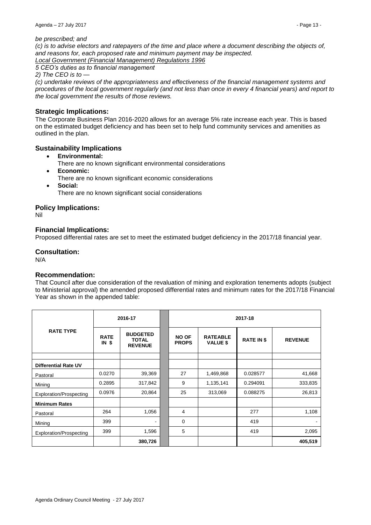#### *be prescribed; and*

*(c) is to advise electors and ratepayers of the time and place where a document describing the objects of, and reasons for, each proposed rate and minimum payment may be inspected.* 

*Local Government (Financial Management) Regulations 1996*

*5 CEO's duties as to financial management*

*2) The CEO is to —*

*(c) undertake reviews of the appropriateness and effectiveness of the financial management systems and procedures of the local government regularly (and not less than once in every 4 financial years) and report to the local government the results of those reviews.* 

# **Strategic Implications:**

The Corporate Business Plan 2016-2020 allows for an average 5% rate increase each year. This is based on the estimated budget deficiency and has been set to help fund community services and amenities as outlined in the plan.

# **Sustainability Implications**

- **Environmental:**
	- There are no known significant environmental considerations
- **Economic:**
	- There are no known significant economic considerations
- **Social:** There are no known significant social considerations

# **Policy Implications:**

Nil

# **Financial Implications:**

Proposed differential rates are set to meet the estimated budget deficiency in the 2017/18 financial year.

# **Consultation:**

N/A

# **Recommendation:**

That Council after due consideration of the revaluation of mining and exploration tenements adopts (subject to Ministerial approval) the amended proposed differential rates and minimum rates for the 2017/18 Financial Year as shown in the appended table:

|                                | 2016-17                |                                                   | 2017-18                      |                                    |                   |                |
|--------------------------------|------------------------|---------------------------------------------------|------------------------------|------------------------------------|-------------------|----------------|
| <b>RATE TYPE</b>               | <b>RATE</b><br>$IN$ \$ | <b>BUDGETED</b><br><b>TOTAL</b><br><b>REVENUE</b> | <b>NO OF</b><br><b>PROPS</b> | <b>RATEABLE</b><br><b>VALUE \$</b> | <b>RATE IN \$</b> | <b>REVENUE</b> |
|                                |                        |                                                   |                              |                                    |                   |                |
| <b>Differential Rate UV</b>    |                        |                                                   |                              |                                    |                   |                |
| Pastoral                       | 0.0270                 | 39,369                                            | 27                           | 1,469,868                          | 0.028577          | 41,668         |
| Mining                         | 0.2895                 | 317,842                                           | 9                            | 1,135,141                          | 0.294091          | 333,835        |
| <b>Exploration/Prospecting</b> | 0.0976                 | 20,864                                            | 25                           | 313,069                            | 0.088275          | 26,813         |
| <b>Minimum Rates</b>           |                        |                                                   |                              |                                    |                   |                |
| Pastoral                       | 264                    | 1,056                                             | 4                            |                                    | 277               | 1,108          |
| Mining                         | 399                    |                                                   | 0                            |                                    | 419               |                |
| <b>Exploration/Prospecting</b> | 399                    | 1,596                                             | 5                            |                                    | 419               | 2,095          |
|                                |                        | 380,726                                           |                              |                                    |                   | 405,519        |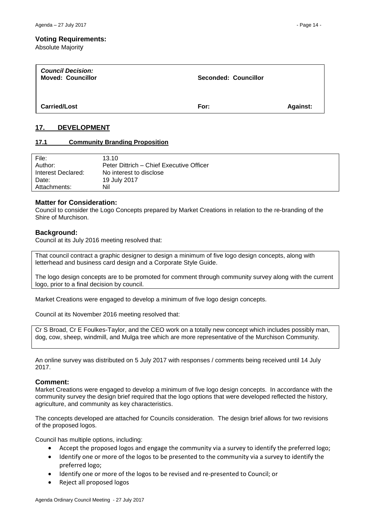Absolute Majority

| <b>Council Decision:</b><br><b>Moved: Councillor</b> | <b>Seconded: Councillor</b> |                 |
|------------------------------------------------------|-----------------------------|-----------------|
| <b>Carried/Lost</b>                                  | For:                        | <b>Against:</b> |

# <span id="page-13-0"></span>**17. DEVELOPMENT**

### <span id="page-13-1"></span>**17.1 Community Branding Proposition**

| File:<br>Author:   | 13.10<br>Peter Dittrich – Chief Executive Officer |
|--------------------|---------------------------------------------------|
| Interest Declared: | No interest to disclose                           |
| Date:              | 19 July 2017                                      |
| Attachments:       | Nil                                               |

### **Matter for Consideration:**

Council to consider the Logo Concepts prepared by Market Creations in relation to the re-branding of the Shire of Murchison.

### **Background:**

Council at its July 2016 meeting resolved that:

That council contract a graphic designer to design a minimum of five logo design concepts, along with letterhead and business card design and a Corporate Style Guide.

The logo design concepts are to be promoted for comment through community survey along with the current logo, prior to a final decision by council.

Market Creations were engaged to develop a minimum of five logo design concepts.

Council at its November 2016 meeting resolved that:

Cr S Broad, Cr E Foulkes-Taylor, and the CEO work on a totally new concept which includes possibly man, dog, cow, sheep, windmill, and Mulga tree which are more representative of the Murchison Community.

An online survey was distributed on 5 July 2017 with responses / comments being received until 14 July 2017.

# **Comment:**

Market Creations were engaged to develop a minimum of five logo design concepts. In accordance with the community survey the design brief required that the logo options that were developed reflected the history, agriculture, and community as key characteristics.

The concepts developed are attached for Councils consideration. The design brief allows for two revisions of the proposed logos.

Council has multiple options, including:

- Accept the proposed logos and engage the community via a survey to identify the preferred logo;
- Identify one or more of the logos to be presented to the community via a survey to identify the preferred logo;
- Identify one or more of the logos to be revised and re-presented to Council; or
- Reject all proposed logos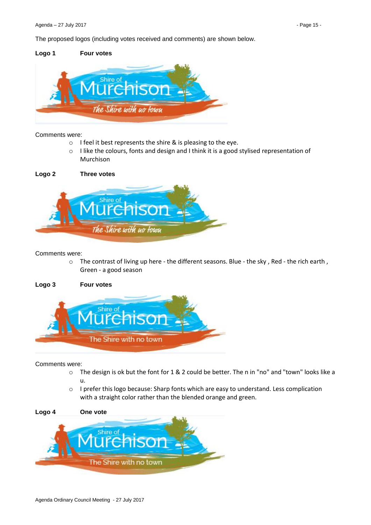The proposed logos (including votes received and comments) are shown below.

# **Logo 1 Four votes**



### Comments were:

- o I feel it best represents the shire & is pleasing to the eye.
- o I like the colours, fonts and design and I think it is a good stylised representation of Murchison



### Comments were:

o The contrast of living up here - the different seasons. Blue - the sky , Red - the rich earth , Green - a good season

# **Logo 3 Four votes**



#### Comments were:

- o The design is ok but the font for 1 & 2 could be better. The n in "no" and "town" looks like a u.
- o I prefer this logo because: Sharp fonts which are easy to understand. Less complication with a straight color rather than the blended orange and green.

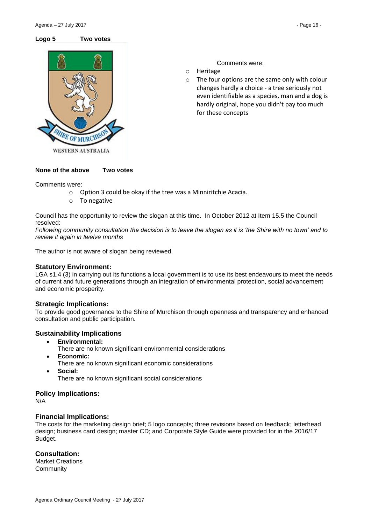

Comments were:

- o Heritage
- o The four options are the same only with colour changes hardly a choice - a tree seriously not even identifiable as a species, man and a dog is hardly original, hope you didn't pay too much for these concepts

# **None of the above Two votes**

Comments were:

- o Option 3 could be okay if the tree was a Minniritchie Acacia.
- o To negative

Council has the opportunity to review the slogan at this time. In October 2012 at Item 15.5 the Council resolved:

*Following community consultation the decision is to leave the slogan as it is 'the Shire with no town' and to review it again in twelve months*

The author is not aware of slogan being reviewed.

# **Statutory Environment:**

LGA s1.4 (3) in carrying out its functions a local government is to use its best endeavours to meet the needs of current and future generations through an integration of environmental protection, social advancement and economic prosperity.

# **Strategic Implications:**

To provide good governance to the Shire of Murchison through openness and transparency and enhanced consultation and public participation.

# **Sustainability Implications**

- **Environmental:**
	- There are no known significant environmental considerations
- **Economic:**
	- There are no known significant economic considerations
- **Social:** There are no known significant social considerations

# **Policy Implications:**

N/A

# **Financial Implications:**

The costs for the marketing design brief; 5 logo concepts; three revisions based on feedback; letterhead design; business card design; master CD; and Corporate Style Guide were provided for in the 2016/17 Budget.

# **Consultation:**

Market Creations **Community**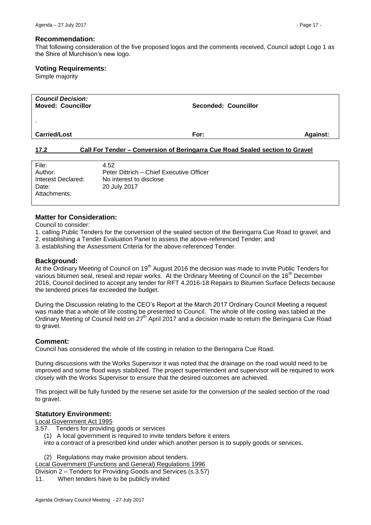#### **Recommendation:**

That following consideration of the five proposed logos and the comments received, Council adopt Logo 1 as the Shire of Murchison's new logo.

### **Voting Requirements:**

Simple majority

| <b>Council Decision:</b><br><b>Moved: Councillor</b> | Seconded: Councillor                                                         |                 |
|------------------------------------------------------|------------------------------------------------------------------------------|-----------------|
| <b>Carried/Lost</b>                                  | For:                                                                         | <b>Against:</b> |
| 172                                                  | Call For Tender - Conversion of Beringarra Cue Road Sealed section to Gravel |                 |

### <span id="page-16-0"></span>**17.2 Call For Tender – Conversion of Beringarra Cue Road Sealed section to Gravel**

| File:              | 4.52                                     |
|--------------------|------------------------------------------|
| Author:            | Peter Dittrich – Chief Executive Officer |
| Interest Declared: | No interest to disclose                  |
| Date:              | 20 July 2017                             |
| Attachments:       |                                          |
|                    |                                          |

# **Matter for Consideration:**

Council to consider:

- 1. calling Public Tenders for the conversion of the sealed section of the Beringarra Cue Road to gravel; and
- 2. establishing a Tender Evaluation Panel to assess the above-referenced Tender; and
- 3. establishing the Assessment Criteria for the above-referenced Tender.

### **Background:**

At the Ordinary Meeting of Council on 19<sup>th</sup> August 2016 the decision was made to invite Public Tenders for various bitumen seal, reseal and repair works. At the Ordinary Meeting of Council on the 16<sup>th</sup> December 2016, Council declined to accept any tender for RFT 4.2016-18 Repairs to Bitumen Surface Defects because the tendered prices far exceeded the budget.

During the Discussion relating to the CEO's Report at the March 2017 Ordinary Council Meeting a request was made that a whole of life costing be presented to Council. The whole of life costing was tabled at the Ordinary Meeting of Council held on 27<sup>th</sup> April 2017 and a decision made to return the Beringarra Cue Road to gravel.

#### **Comment:**

Council has considered the whole of life costing in relation to the Beringarra Cue Road.

During discussions with the Works Supervisor it was noted that the drainage on the road would need to be improved and some flood ways stabilized. The project superintendent and supervisor will be required to work closely with the Works Supervisor to ensure that the desired outcomes are achieved.

This project will be fully funded by the reserve set aside for the conversion of the sealed section of the road to gravel.

# **Statutory Environment:**

Local Government Act 1995

3.57. Tenders for providing goods or services

(1) A local government is required to invite tenders before it enters

into a contract of a prescribed kind under which another person is to supply goods or services.

(2) Regulations may make provision about tenders.

Local Government (Functions and General) Regulations 1996

Division 2 – Tenders for Providing Goods and Services (s.3.57)

11. When tenders have to be publicly invited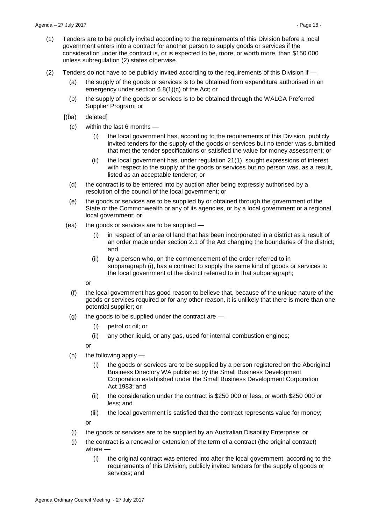- (1) Tenders are to be publicly invited according to the requirements of this Division before a local government enters into a contract for another person to supply goods or services if the consideration under the contract is, or is expected to be, more, or worth more, than \$150 000 unless subregulation (2) states otherwise.
- (2) Tenders do not have to be publicly invited according to the requirements of this Division if
	- (a) the supply of the goods or services is to be obtained from expenditure authorised in an emergency under section 6.8(1)(c) of the Act; or
	- (b) the supply of the goods or services is to be obtained through the WALGA Preferred Supplier Program; or
	- [(ba) deleted]
		- (c) within the last 6 months
			- (i) the local government has, according to the requirements of this Division, publicly invited tenders for the supply of the goods or services but no tender was submitted that met the tender specifications or satisfied the value for money assessment; or
			- (ii) the local government has, under regulation 21(1), sought expressions of interest with respect to the supply of the goods or services but no person was, as a result, listed as an acceptable tenderer; or
		- (d) the contract is to be entered into by auction after being expressly authorised by a resolution of the council of the local government; or
		- (e) the goods or services are to be supplied by or obtained through the government of the State or the Commonwealth or any of its agencies, or by a local government or a regional local government; or
	- (ea) the goods or services are to be supplied
		- (i) in respect of an area of land that has been incorporated in a district as a result of an order made under section 2.1 of the Act changing the boundaries of the district; and
		- (ii) by a person who, on the commencement of the order referred to in subparagraph (i), has a contract to supply the same kind of goods or services to the local government of the district referred to in that subparagraph;

or

- (f) the local government has good reason to believe that, because of the unique nature of the goods or services required or for any other reason, it is unlikely that there is more than one potential supplier; or
- (g) the goods to be supplied under the contract are
	- (i) petrol or oil; or
	- (ii) any other liquid, or any gas, used for internal combustion engines;

or

- (h) the following apply
	- (i) the goods or services are to be supplied by a person registered on the Aboriginal Business Directory WA published by the Small Business Development Corporation established under the Small Business Development Corporation Act 1983; and
	- (ii) the consideration under the contract is \$250 000 or less, or worth \$250 000 or less; and
	- (iii) the local government is satisfied that the contract represents value for money;

or

- (i) the goods or services are to be supplied by an Australian Disability Enterprise; or
	- (j) the contract is a renewal or extension of the term of a contract (the original contract) where —
		- (i) the original contract was entered into after the local government, according to the requirements of this Division, publicly invited tenders for the supply of goods or services; and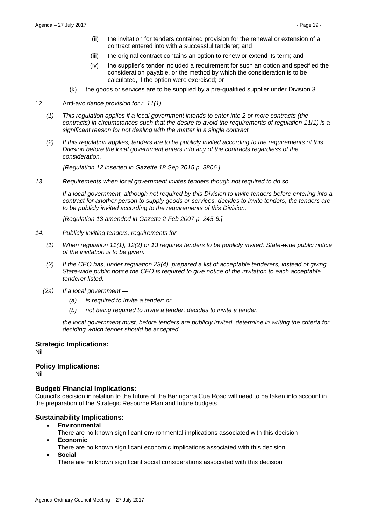- (ii) the invitation for tenders contained provision for the renewal or extension of a contract entered into with a successful tenderer; and
- (iii) the original contract contains an option to renew or extend its term; and
- (iv) the supplier's tender included a requirement for such an option and specified the consideration payable, or the method by which the consideration is to be calculated, if the option were exercised; or
- (k) the goods or services are to be supplied by a pre-qualified supplier under Division 3.
- 12. Anti-avoi*dance provision for r. 11(1)*
	- *(1) This regulation applies if a local government intends to enter into 2 or more contracts (the contracts) in circumstances such that the desire to avoid the requirements of regulation 11(1) is a significant reason for not dealing with the matter in a single contract.*
	- *(2) If this regulation applies, tenders are to be publicly invited according to the requirements of this Division before the local government enters into any of the contracts regardless of the consideration.*

*[Regulation 12 inserted in Gazette 18 Sep 2015 p. 3806.]* 

*13. Requirements when local government invites tenders though not required to do so*

*If a local government, although not required by this Division to invite tenders before entering into a contract for another person to supply goods or services, decides to invite tenders, the tenders are to be publicly invited according to the requirements of this Division.*

*[Regulation 13 amended in Gazette 2 Feb 2007 p. 245-6.]*

- *14. Publicly inviting tenders, requirements for*
	- *(1) When regulation 11(1), 12(2) or 13 requires tenders to be publicly invited, State-wide public notice of the invitation is to be given.*
	- *(2) If the CEO has, under regulation 23(4), prepared a list of acceptable tenderers, instead of giving State-wide public notice the CEO is required to give notice of the invitation to each acceptable tenderer listed.*
	- *(2a) If a local government —*
		- *(a) is required to invite a tender; or*
		- *(b) not being required to invite a tender, decides to invite a tender,*

*the local government must, before tenders are publicly invited, determine in writing the criteria for deciding which tender should be accepted.*

# **Strategic Implications:**

Nil

# **Policy Implications:**

Nil

# **Budget/ Financial Implications:**

Council's decision in relation to the future of the Beringarra Cue Road will need to be taken into account in the preparation of the Strategic Resource Plan and future budgets.

# **Sustainability Implications:**

- **Environmental**
- There are no known significant environmental implications associated with this decision **Economic**
- There are no known significant economic implications associated with this decision **Social**

There are no known significant social considerations associated with this decision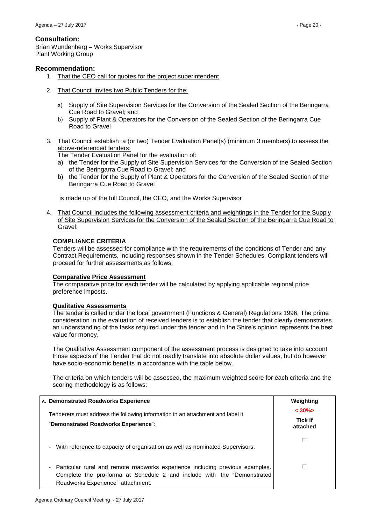# **Consultation:**

Brian Wundenberg – Works Supervisor Plant Working Group

# **Recommendation:**

- 1. That the CEO call for quotes for the project superintendent
- 2. That Council invites two Public Tenders for the:
	- a) Supply of Site Supervision Services for the Conversion of the Sealed Section of the Beringarra Cue Road to Gravel; and
	- b) Supply of Plant & Operators for the Conversion of the Sealed Section of the Beringarra Cue Road to Gravel
- 3. That Council establish a (or two) Tender Evaluation Panel(s) (minimum 3 members) to assess the above-referenced tenders:

The Tender Evaluation Panel for the evaluation of:

- a) the Tender for the Supply of Site Supervision Services for the Conversion of the Sealed Section of the Beringarra Cue Road to Gravel; and
- b) the Tender for the Supply of Plant & Operators for the Conversion of the Sealed Section of the Beringarra Cue Road to Gravel

is made up of the full Council, the CEO, and the Works Supervisor

4. That Council includes the following assessment criteria and weightings in the Tender for the Supply of Site Supervision Services for the Conversion of the Sealed Section of the Beringarra Cue Road to Gravel:

# **COMPLIANCE CRITERIA**

Tenders will be assessed for compliance with the requirements of the conditions of Tender and any Contract Requirements, including responses shown in the Tender Schedules. Compliant tenders will proceed for further assessments as follows:

# **Comparative Price Assessment**

The comparative price for each tender will be calculated by applying applicable regional price preference imposts.

#### **Qualitative Assessments**

The tender is called under the local government (Functions & General) Regulations 1996. The prime consideration in the evaluation of received tenders is to establish the tender that clearly demonstrates an understanding of the tasks required under the tender and in the Shire's opinion represents the best value for money.

The Qualitative Assessment component of the assessment process is designed to take into account those aspects of the Tender that do not readily translate into absolute dollar values, but do however have socio-economic benefits in accordance with the table below.

The criteria on which tenders will be assessed, the maximum weighted score for each criteria and the scoring methodology is as follows:

| A. Demonstrated Roadworks Experience                                                                                                                                                                | Weighting                  |
|-----------------------------------------------------------------------------------------------------------------------------------------------------------------------------------------------------|----------------------------|
| Tenderers must address the following information in an attachment and label it                                                                                                                      | $< 30\%$                   |
| "Demonstrated Roadworks Experience":                                                                                                                                                                | <b>Tick if</b><br>attached |
| - With reference to capacity of organisation as well as nominated Supervisors.                                                                                                                      |                            |
| Particular rural and remote roadworks experience including previous examples.<br>٠<br>Complete the pro-forma at Schedule 2 and include with the "Demonstrated"<br>Roadworks Experience" attachment. |                            |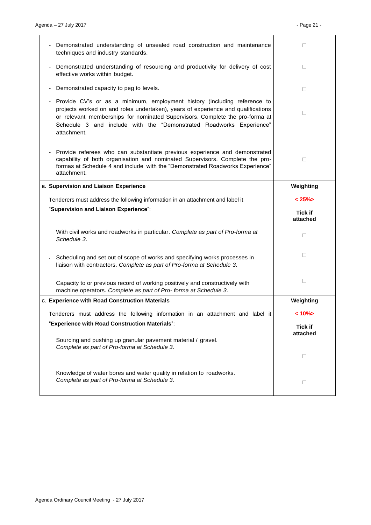| Demonstrated understanding of unsealed road construction and maintenance<br>techniques and industry standards.                                                                                                                                                                                                                     | $\perp$                    |
|------------------------------------------------------------------------------------------------------------------------------------------------------------------------------------------------------------------------------------------------------------------------------------------------------------------------------------|----------------------------|
| Demonstrated understanding of resourcing and productivity for delivery of cost<br>effective works within budget.                                                                                                                                                                                                                   | $\Box$                     |
| Demonstrated capacity to peg to levels.                                                                                                                                                                                                                                                                                            | $\Box$                     |
| Provide CV's or as a minimum, employment history (including reference to<br>projects worked on and roles undertaken), years of experience and qualifications<br>or relevant memberships for nominated Supervisors. Complete the pro-forma at<br>Schedule 3 and include with the "Demonstrated Roadworks Experience"<br>attachment. | 0                          |
| Provide referees who can substantiate previous experience and demonstrated<br>capability of both organisation and nominated Supervisors. Complete the pro-<br>formas at Schedule 4 and include with the "Demonstrated Roadworks Experience"<br>attachment.                                                                         | П                          |
| <b>B. Supervision and Liaison Experience</b>                                                                                                                                                                                                                                                                                       | Weighting                  |
| Tenderers must address the following information in an attachment and label it                                                                                                                                                                                                                                                     | $< 25\%$                   |
| "Supervision and Liaison Experience":                                                                                                                                                                                                                                                                                              | <b>Tick if</b><br>attached |
| With civil works and roadworks in particular. Complete as part of Pro-forma at<br>Schedule 3.                                                                                                                                                                                                                                      | П                          |
| Scheduling and set out of scope of works and specifying works processes in<br>liaison with contractors. Complete as part of Pro-forma at Schedule 3.                                                                                                                                                                               | $\Box$                     |
| Capacity to or previous record of working positively and constructively with<br>machine operators. Complete as part of Pro-forma at Schedule 3.                                                                                                                                                                                    | $\Box$                     |
| c. Experience with Road Construction Materials                                                                                                                                                                                                                                                                                     | Weighting                  |
| Tenderers must address the following information in an attachment and label it                                                                                                                                                                                                                                                     | $< 10\%$                   |
| "Experience with Road Construction Materials":                                                                                                                                                                                                                                                                                     | <b>Tick if</b>             |
| Sourcing and pushing up granular pavement material / gravel.<br>Complete as part of Pro-forma at Schedule 3.                                                                                                                                                                                                                       | attached                   |
|                                                                                                                                                                                                                                                                                                                                    | $\Box$                     |
| Knowledge of water bores and water quality in relation to roadworks.<br>Complete as part of Pro-forma at Schedule 3.                                                                                                                                                                                                               | $\Box$                     |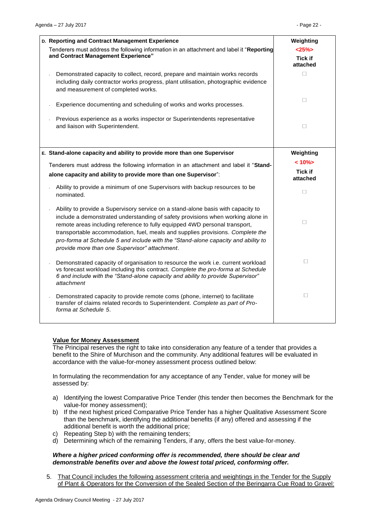| D. Reporting and Contract Management Experience                                                                                                                                                                                                                                                                                                                                                                                                                           | Weighting                          |
|---------------------------------------------------------------------------------------------------------------------------------------------------------------------------------------------------------------------------------------------------------------------------------------------------------------------------------------------------------------------------------------------------------------------------------------------------------------------------|------------------------------------|
| Tenderers must address the following information in an attachment and label it "Reporting<br>and Contract Management Experience"                                                                                                                                                                                                                                                                                                                                          | <25%<br><b>Tick if</b><br>attached |
| Demonstrated capacity to collect, record, prepare and maintain works records<br>including daily contractor works progress, plant utilisation, photographic evidence<br>and measurement of completed works.                                                                                                                                                                                                                                                                | $\Box$                             |
| Experience documenting and scheduling of works and works processes.                                                                                                                                                                                                                                                                                                                                                                                                       | П                                  |
| Previous experience as a works inspector or Superintendents representative<br>and liaison with Superintendent.                                                                                                                                                                                                                                                                                                                                                            | П                                  |
| E. Stand-alone capacity and ability to provide more than one Supervisor                                                                                                                                                                                                                                                                                                                                                                                                   | Weighting                          |
| Tenderers must address the following information in an attachment and label it "Stand-                                                                                                                                                                                                                                                                                                                                                                                    | $< 10\%$                           |
| alone capacity and ability to provide more than one Supervisor":                                                                                                                                                                                                                                                                                                                                                                                                          | <b>Tick if</b><br>attached         |
| Ability to provide a minimum of one Supervisors with backup resources to be<br>nominated.                                                                                                                                                                                                                                                                                                                                                                                 | П                                  |
| Ability to provide a Supervisory service on a stand-alone basis with capacity to<br>include a demonstrated understanding of safety provisions when working alone in<br>remote areas including reference to fully equipped 4WD personal transport,<br>transportable accommodation, fuel, meals and supplies provisions. Complete the<br>pro-forma at Schedule 5 and include with the "Stand-alone capacity and ability to<br>provide more than one Supervisor" attachment. | П                                  |
| Demonstrated capacity of organisation to resource the work i.e. current workload<br>vs forecast workload including this contract. Complete the pro-forma at Schedule<br>6 and include with the "Stand-alone capacity and ability to provide Supervisor"<br>attachment                                                                                                                                                                                                     | $\Box$                             |
| Demonstrated capacity to provide remote coms (phone, internet) to facilitate<br>transfer of claims related records to Superintendent. Complete as part of Pro-<br>forma at Schedule 5.                                                                                                                                                                                                                                                                                    | $\Box$                             |
|                                                                                                                                                                                                                                                                                                                                                                                                                                                                           |                                    |

# **Value for Money Assessment**

The Principal reserves the right to take into consideration any feature of a tender that provides a benefit to the Shire of Murchison and the community. Any additional features will be evaluated in accordance with the value-for-money assessment process outlined below:

In formulating the recommendation for any acceptance of any Tender, value for money will be assessed by:

- a) Identifying the lowest Comparative Price Tender (this tender then becomes the Benchmark for the value-for money assessment);
- b) If the next highest priced Comparative Price Tender has a higher Qualitative Assessment Score than the benchmark, identifying the additional benefits (if any) offered and assessing if the additional benefit is worth the additional price;
- c) Repeating Step b) with the remaining tenders;
- d) Determining which of the remaining Tenders, if any, offers the best value-for-money.

### *Where a higher priced conforming offer is recommended, there should be clear and demonstrable benefits over and above the lowest total priced, conforming offer.*

5. That Council includes the following assessment criteria and weightings in the Tender for the Supply of Plant & Operators for the Conversion of the Sealed Section of the Beringarra Cue Road to Gravel: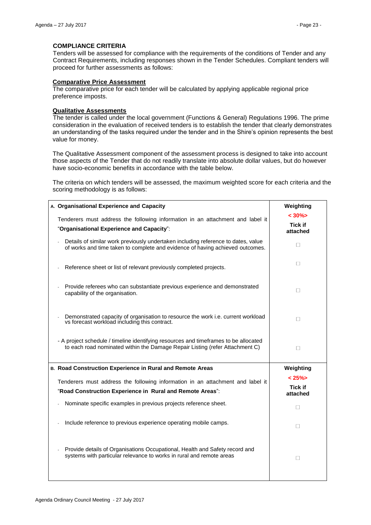# **COMPLIANCE CRITERIA**

Tenders will be assessed for compliance with the requirements of the conditions of Tender and any Contract Requirements, including responses shown in the Tender Schedules. Compliant tenders will proceed for further assessments as follows:

### **Comparative Price Assessment**

The comparative price for each tender will be calculated by applying applicable regional price preference imposts.

#### **Qualitative Assessments**

The tender is called under the local government (Functions & General) Regulations 1996. The prime consideration in the evaluation of received tenders is to establish the tender that clearly demonstrates an understanding of the tasks required under the tender and in the Shire's opinion represents the best value for money.

The Qualitative Assessment component of the assessment process is designed to take into account those aspects of the Tender that do not readily translate into absolute dollar values, but do however have socio-economic benefits in accordance with the table below.

The criteria on which tenders will be assessed, the maximum weighted score for each criteria and the scoring methodology is as follows:

| A. Organisational Experience and Capacity                                                                                                                            | Weighting                  |
|----------------------------------------------------------------------------------------------------------------------------------------------------------------------|----------------------------|
| Tenderers must address the following information in an attachment and label it                                                                                       | $< 30\%$<br><b>Tick if</b> |
| "Organisational Experience and Capacity":                                                                                                                            | attached                   |
| Details of similar work previously undertaken including reference to dates, value<br>of works and time taken to complete and evidence of having achieved outcomes.   | П                          |
| Reference sheet or list of relevant previously completed projects.                                                                                                   | $\Box$                     |
| Provide referees who can substantiate previous experience and demonstrated<br>capability of the organisation.                                                        | $\Box$                     |
| Demonstrated capacity of organisation to resource the work i.e. current workload<br>vs forecast workload including this contract.                                    | $\Box$                     |
| - A project schedule / timeline identifying resources and timeframes to be allocated<br>to each road nominated within the Damage Repair Listing (refer Attachment C) | $\Box$                     |
|                                                                                                                                                                      |                            |
| B. Road Construction Experience in Rural and Remote Areas                                                                                                            | Weighting                  |
|                                                                                                                                                                      | $< 25\%$                   |
| Tenderers must address the following information in an attachment and label it<br>"Road Construction Experience in Rural and Remote Areas":                          | <b>Tick if</b><br>attached |
| Nominate specific examples in previous projects reference sheet.                                                                                                     | П                          |
| Include reference to previous experience operating mobile camps.                                                                                                     | $\Box$                     |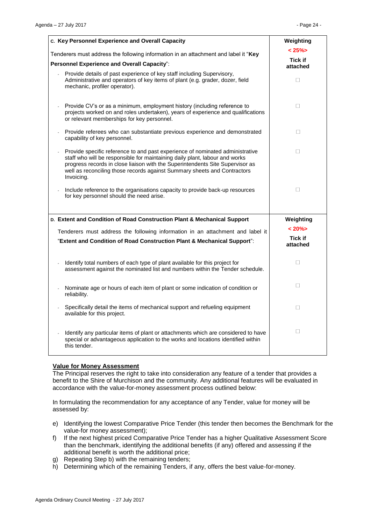| c. Key Personnel Experience and Overall Capacity                                                                                                                                                                                                                                                                                        | Weighting                  |
|-----------------------------------------------------------------------------------------------------------------------------------------------------------------------------------------------------------------------------------------------------------------------------------------------------------------------------------------|----------------------------|
| Tenderers must address the following information in an attachment and label it "Key                                                                                                                                                                                                                                                     | $< 25\%$<br><b>Tick if</b> |
| Personnel Experience and Overall Capacity":                                                                                                                                                                                                                                                                                             | attached                   |
| Provide details of past experience of key staff including Supervisory.<br>Administrative and operators of key items of plant (e.g. grader, dozer, field<br>mechanic, profiler operator).                                                                                                                                                | $\Box$                     |
| Provide CV's or as a minimum, employment history (including reference to<br>projects worked on and roles undertaken), years of experience and qualifications<br>or relevant memberships for key personnel.                                                                                                                              | $\Box$                     |
| Provide referees who can substantiate previous experience and demonstrated<br>capability of key personnel.                                                                                                                                                                                                                              | $\Box$                     |
| Provide specific reference to and past experience of nominated administrative<br>staff who will be responsible for maintaining daily plant, labour and works<br>progress records in close liaison with the Superintendents Site Supervisor as<br>well as reconciling those records against Summary sheets and Contractors<br>Invoicing. | $\Box$                     |
| Include reference to the organisations capacity to provide back-up resources<br>for key personnel should the need arise.                                                                                                                                                                                                                | $\Box$                     |
| D. Extent and Condition of Road Construction Plant & Mechanical Support                                                                                                                                                                                                                                                                 | Weighting                  |
| Tenderers must address the following information in an attachment and label it                                                                                                                                                                                                                                                          | $< 20\%$                   |
| "Extent and Condition of Road Construction Plant & Mechanical Support":                                                                                                                                                                                                                                                                 | <b>Tick if</b><br>attached |
| Identify total numbers of each type of plant available for this project for<br>assessment against the nominated list and numbers within the Tender schedule.                                                                                                                                                                            | П                          |
| Nominate age or hours of each item of plant or some indication of condition or<br>reliability.                                                                                                                                                                                                                                          | П                          |
| Specifically detail the items of mechanical support and refueling equipment<br>available for this project.                                                                                                                                                                                                                              | $\Box$                     |
| Identify any particular items of plant or attachments which are considered to have<br>special or advantageous application to the works and locations identified within<br>this tender.                                                                                                                                                  | $\Box$                     |

#### **Value for Money Assessment**

The Principal reserves the right to take into consideration any feature of a tender that provides a benefit to the Shire of Murchison and the community. Any additional features will be evaluated in accordance with the value-for-money assessment process outlined below:

In formulating the recommendation for any acceptance of any Tender, value for money will be assessed by:

- e) Identifying the lowest Comparative Price Tender (this tender then becomes the Benchmark for the value-for money assessment);
- f) If the next highest priced Comparative Price Tender has a higher Qualitative Assessment Score than the benchmark, identifying the additional benefits (if any) offered and assessing if the additional benefit is worth the additional price;
- g) Repeating Step b) with the remaining tenders;
- h) Determining which of the remaining Tenders, if any, offers the best value-for-money.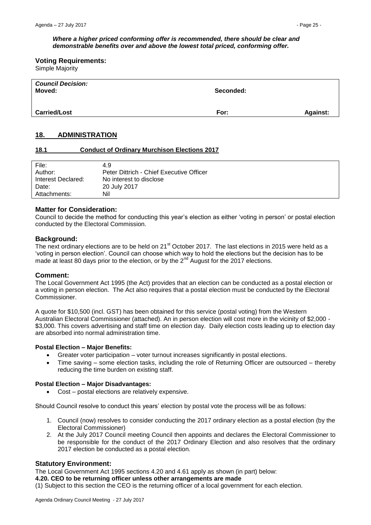#### *Where a higher priced conforming offer is recommended, there should be clear and demonstrable benefits over and above the lowest total priced, conforming offer.*

#### **Voting Requirements:**

Simple Majority

| <b>Council Decision:</b><br>Moved: | Seconded: |                 |
|------------------------------------|-----------|-----------------|
| <b>Carried/Lost</b>                | For:      | <b>Against:</b> |

# <span id="page-24-0"></span>**18. ADMINISTRATION**

### <span id="page-24-1"></span>**18.1 Conduct of Ordinary Murchison Elections 2017**

| File:              | 4.9                                      |
|--------------------|------------------------------------------|
| Author:            | Peter Dittrich - Chief Executive Officer |
| Interest Declared: | No interest to disclose                  |
| Date:              | 20 July 2017                             |
| Attachments:       | Nil                                      |

# **Matter for Consideration:**

Council to decide the method for conducting this year's election as either 'voting in person' or postal election conducted by the Electoral Commission.

### **Background:**

The next ordinary elections are to be held on 21<sup>st</sup> October 2017. The last elections in 2015 were held as a 'voting in person election'. Council can choose which way to hold the elections but the decision has to be made at least 80 days prior to the election, or by the  $2^{nd}$  August for the 2017 elections.

# **Comment:**

The Local Government Act 1995 (the Act) provides that an election can be conducted as a postal election or a voting in person election. The Act also requires that a postal election must be conducted by the Electoral Commissioner.

A quote for \$10,500 (incl. GST) has been obtained for this service (postal voting) from the Western Australian Electoral Commissioner (attached). An in person election will cost more in the vicinity of \$2,000 - \$3,000. This covers advertising and staff time on election day. Daily election costs leading up to election day are absorbed into normal administration time.

#### **Postal Election – Major Benefits:**

- Greater voter participation voter turnout increases significantly in postal elections.
- Time saving some election tasks, including the role of Returning Officer are outsourced thereby reducing the time burden on existing staff.

#### **Postal Election – Major Disadvantages:**

Cost – postal elections are relatively expensive.

Should Council resolve to conduct this years' election by postal vote the process will be as follows:

- 1. Council (now) resolves to consider conducting the 2017 ordinary election as a postal election (by the Electoral Commissioner)
- 2. At the July 2017 Council meeting Council then appoints and declares the Electoral Commissioner to be responsible for the conduct of the 2017 Ordinary Election and also resolves that the ordinary 2017 election be conducted as a postal election.

# **Statutory Environment:**

The Local Government Act 1995 sections 4.20 and 4.61 apply as shown (in part) below:

**4.20. CEO to be returning officer unless other arrangements are made**

(1) Subject to this section the CEO is the returning officer of a local government for each election.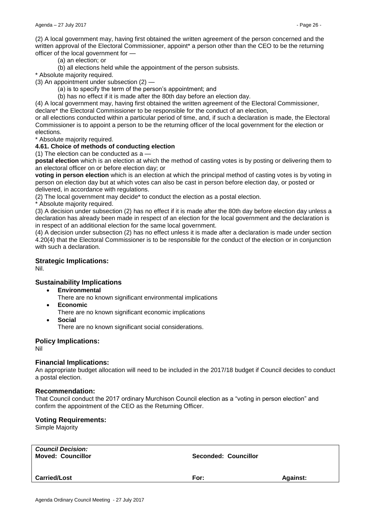(2) A local government may, having first obtained the written agreement of the person concerned and the written approval of the Electoral Commissioner, appoint\* a person other than the CEO to be the returning officer of the local government for —

(a) an election; or

(b) all elections held while the appointment of the person subsists.

\* Absolute majority required.

(3) An appointment under subsection (2) —

(a) is to specify the term of the person's appointment; and

(b) has no effect if it is made after the 80th day before an election day.

(4) A local government may, having first obtained the written agreement of the Electoral Commissioner, declare\* the Electoral Commissioner to be responsible for the conduct of an election,

or all elections conducted within a particular period of time, and, if such a declaration is made, the Electoral Commissioner is to appoint a person to be the returning officer of the local government for the election or elections.

\* Absolute majority required.

# **4.61. Choice of methods of conducting election**

(1) The election can be conducted as a —

**postal election** which is an election at which the method of casting votes is by posting or delivering them to an electoral officer on or before election day; or

**voting in person election** which is an election at which the principal method of casting votes is by voting in person on election day but at which votes can also be cast in person before election day, or posted or delivered, in accordance with regulations.

(2) The local government may decide\* to conduct the election as a postal election.

\* Absolute majority required.

(3) A decision under subsection (2) has no effect if it is made after the 80th day before election day unless a declaration has already been made in respect of an election for the local government and the declaration is in respect of an additional election for the same local government.

(4) A decision under subsection (2) has no effect unless it is made after a declaration is made under section 4.20(4) that the Electoral Commissioner is to be responsible for the conduct of the election or in conjunction with such a declaration.

# **Strategic Implications:**

Nil.

# **Sustainability Implications**

- **Environmental** 
	- There are no known significant environmental implications
- **Economic** 
	- There are no known significant economic implications
- **Social**

There are no known significant social considerations.

# **Policy Implications:**

Nil

# **Financial Implications:**

An appropriate budget allocation will need to be included in the 2017/18 budget if Council decides to conduct a postal election.

#### **Recommendation:**

That Council conduct the 2017 ordinary Murchison Council election as a "voting in person election" and confirm the appointment of the CEO as the Returning Officer.

# **Voting Requirements:**

Simple Majority

| <b>Council Decision:</b><br><b>Moved: Councillor</b> | Seconded: Councillor |                 |
|------------------------------------------------------|----------------------|-----------------|
| <b>Carried/Lost</b>                                  | For:                 | <b>Against:</b> |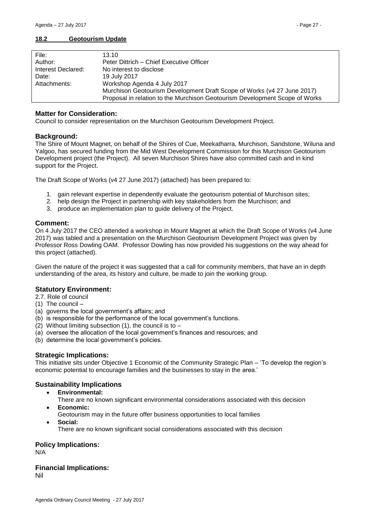### <span id="page-26-0"></span>**18.2 Geotourism Update**

| File:              | 13.10                                                                       |
|--------------------|-----------------------------------------------------------------------------|
| Author:            | Peter Dittrich - Chief Executive Officer                                    |
| Interest Declared: | No interest to disclose                                                     |
| Date:              | 19 July 2017                                                                |
| Attachments:       | Workshop Agenda 4 July 2017                                                 |
|                    | Murchison Geotourism Development Draft Scope of Works (v4 27 June 2017)     |
|                    | Proposal in relation to the Murchison Geotourism Development Scope of Works |

# **Matter for Consideration:**

Council to consider representation on the Murchison Geotourism Development Project.

# **Background:**

The Shire of Mount Magnet, on behalf of the Shires of Cue, Meekatharra, Murchison, Sandstone, Wiluna and Yalgoo, has secured funding from the Mid West Development Commission for this Murchison Geotourism Development project (the Project). All seven Murchison Shires have also committed cash and in kind support for the Project.

The Draft Scope of Works (v4 27 June 2017) (attached) has been prepared to:

- 1. gain relevant expertise in dependently evaluate the geotourism potential of Murchison sites;
- 2. help design the Project in partnership with key stakeholders from the Murchison; and
- 3. produce an implementation plan to guide delivery of the Project.

# **Comment:**

On 4 July 2017 the CEO attended a workshop in Mount Magnet at which the Draft Scope of Works (v4 June 2017) was tabled and a presentation on the Murchison Geotourism Development Project was given by Professor Ross Dowling OAM. Professor Dowling has now provided his suggestions on the way ahead for this project (attached).

Given the nature of the project it was suggested that a call for community members, that have an in depth understanding of the area, its history and culture, be made to join the working group.

# **Statutory Environment:**

- 2.7. Role of council
- (1) The council –
- (a) governs the local government's affairs; and
- (b) is responsible for the performance of the local government's functions.
- (2) Without limiting subsection (1), the council is to  $-$
- (a) oversee the allocation of the local government's finances and resources; and
- (b) determine the local government's policies.

# **Strategic Implications:**

This initiative sits under Objective 1 Economic of the Community Strategic Plan – 'To develop the region's economic potential to encourage families and the businesses to stay in the area.'

# **Sustainability Implications**

- **Environmental:**
	- There are no known significant environmental considerations associated with this decision
	- **Economic:**
	- Geotourism may in the future offer business opportunities to local families
	- **Social:**
	- There are no known significant social considerations associated with this decision

# **Policy Implications:**

N/A

# **Financial Implications:**

Nil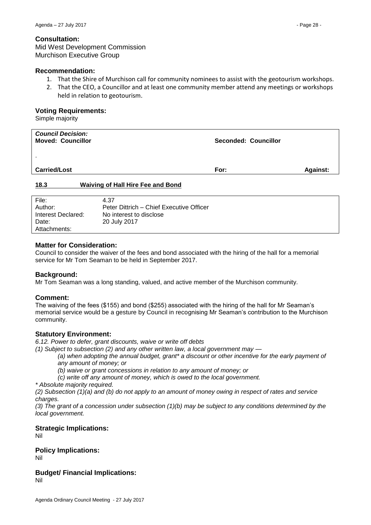Mid West Development Commission Murchison Executive Group

# **Recommendation:**

- 1. That the Shire of Murchison call for community nominees to assist with the geotourism workshops.
- 2. That the CEO, a Councillor and at least one community member attend any meetings or workshops held in relation to geotourism.

# **Voting Requirements:**

Simple majority

| <b>Council Decision:</b><br><b>Moved: Councillor</b> | Seconded: Councillor |                 |
|------------------------------------------------------|----------------------|-----------------|
| $\blacksquare$<br><b>Carried/Lost</b>                | For:                 | <b>Against:</b> |
| 18.3<br><b>Waiving of Hall Hire Fee and Bond</b>     |                      |                 |

<span id="page-27-0"></span>

| File:              | 4.37                                     |
|--------------------|------------------------------------------|
| Author:            | Peter Dittrich - Chief Executive Officer |
| Interest Declared: | No interest to disclose                  |
| Date:              | 20 July 2017                             |
| Attachments:       |                                          |

# **Matter for Consideration:**

Council to consider the waiver of the fees and bond associated with the hiring of the hall for a memorial service for Mr Tom Seaman to be held in September 2017.

# **Background:**

Mr Tom Seaman was a long standing, valued, and active member of the Murchison community.

# **Comment:**

The waiving of the fees (\$155) and bond (\$255) associated with the hiring of the hall for Mr Seaman's memorial service would be a gesture by Council in recognising Mr Seaman's contribution to the Murchison community.

# **Statutory Environment:**

*6.12. Power to defer, grant discounts, waive or write off debts* 

*(1) Subject to subsection (2) and any other written law, a local government may —*

*(a) when adopting the annual budget, grant\* a discount or other incentive for the early payment of any amount of money; or* 

*(b) waive or grant concessions in relation to any amount of money; or* 

*(c) write off any amount of money, which is owed to the local government.* 

*\* Absolute majority required.*

*(2) Subsection (1)(a) and (b) do not apply to an amount of money owing in respect of rates and service charges.* 

*(3) The grant of a concession under subsection (1)(b) may be subject to any conditions determined by the local government.*

# **Strategic Implications:**

Nil

# **Policy Implications:**

Nil

# **Budget/ Financial Implications:**

Nil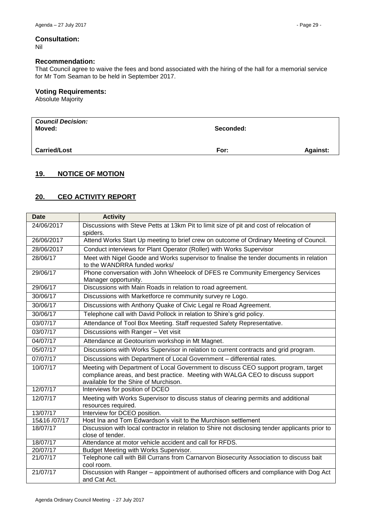# **Consultation:**

Nil

### **Recommendation:**

That Council agree to waive the fees and bond associated with the hiring of the hall for a memorial service for Mr Tom Seaman to be held in September 2017.

# **Voting Requirements:**

Absolute Majority

| <b>Council Decision:</b><br>Moved: | Seconded: |                 |
|------------------------------------|-----------|-----------------|
| <b>Carried/Lost</b>                | For:      | <b>Against:</b> |

# <span id="page-28-0"></span>**19. NOTICE OF MOTION**

# <span id="page-28-1"></span>**20. CEO ACTIVITY REPORT**

| <b>Date</b>  | <b>Activity</b>                                                                                                                                                                                               |
|--------------|---------------------------------------------------------------------------------------------------------------------------------------------------------------------------------------------------------------|
| 24/06/2017   | Discussions with Steve Petts at 13km Pit to limit size of pit and cost of relocation of<br>spiders.                                                                                                           |
| 26/06/2017   | Attend Works Start Up meeting to brief crew on outcome of Ordinary Meeting of Council.                                                                                                                        |
| 28/06/2017   | Conduct interviews for Plant Operator (Roller) with Works Supervisor                                                                                                                                          |
| 28/06/17     | Meet with Nigel Goode and Works supervisor to finalise the tender documents in relation<br>to the WANDRRA funded works/                                                                                       |
| 29/06/17     | Phone conversation with John Wheelock of DFES re Community Emergency Services<br>Manager opportunity.                                                                                                         |
| 29/06/17     | Discussions with Main Roads in relation to road agreement.                                                                                                                                                    |
| 30/06/17     | Discussions with Marketforce re community survey re Logo.                                                                                                                                                     |
| 30/06/17     | Discussions with Anthony Quake of Civic Legal re Road Agreement.                                                                                                                                              |
| 30/06/17     | Telephone call with David Pollock in relation to Shire's grid policy.                                                                                                                                         |
| 03/07/17     | Attendance of Tool Box Meeting. Staff requested Safety Representative.                                                                                                                                        |
| 03/07/17     | Discussions with Ranger - Vet visit                                                                                                                                                                           |
| 04/07/17     | Attendance at Geotourism workshop in Mt Magnet.                                                                                                                                                               |
| 05/07/17     | Discussions with Works Supervisor in relation to current contracts and grid program.                                                                                                                          |
| 07/07/17     | Discussions with Department of Local Government - differential rates.                                                                                                                                         |
| 10/07/17     | Meeting with Department of Local Government to discuss CEO support program, target<br>compliance areas, and best practice. Meeting with WALGA CEO to discuss support<br>available for the Shire of Murchison. |
| 12/07/17     | Interviews for position of DCEO                                                                                                                                                                               |
| 12/07/17     | Meeting with Works Supervisor to discuss status of clearing permits and additional<br>resources required.                                                                                                     |
| 13/07/17     | Interview for DCEO position.                                                                                                                                                                                  |
| 15&16 /07/17 | Host Ina and Tom Edwardson's visit to the Murchison settlement                                                                                                                                                |
| 18/07/17     | Discussion with local contractor in relation to Shire not disclosing tender applicants prior to<br>close of tender.                                                                                           |
| 18/07/17     | Attendance at motor vehicle accident and call for RFDS.                                                                                                                                                       |
| 20/07/17     | Budget Meeting with Works Supervisor.                                                                                                                                                                         |
| 21/07/17     | Telephone call with Bill Currans from Carnarvon Biosecurity Association to discuss bait<br>cool room.                                                                                                         |
| 21/07/17     | Discussion with Ranger - appointment of authorised officers and compliance with Dog Act<br>and Cat Act.                                                                                                       |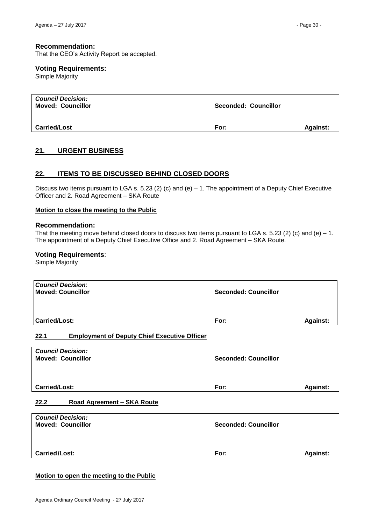### **Recommendation:**

That the CEO's Activity Report be accepted.

### **Voting Requirements:**

Simple Majority

| <b>Council Decision:</b><br><b>Moved: Councillor</b> | Seconded: Councillor |                 |
|------------------------------------------------------|----------------------|-----------------|
| <b>Carried/Lost</b>                                  | For:                 | <b>Against:</b> |

# <span id="page-29-0"></span>**21. URGENT BUSINESS**

# <span id="page-29-1"></span>**22. ITEMS TO BE DISCUSSED BEHIND CLOSED DOORS**

Discuss two items pursuant to LGA s. 5.23 (2) (c) and (e) – 1. The appointment of a Deputy Chief Executive Officer and 2. Road Agreement – SKA Route

#### **Motion to close the meeting to the Public**

#### **Recommendation:**

That the meeting move behind closed doors to discuss two items pursuant to LGA s. 5.23 (2) (c) and (e)  $-1$ . The appointment of a Deputy Chief Executive Office and 2. Road Agreement – SKA Route.

#### **Voting Requirements**:

Simple Majority

<span id="page-29-2"></span>

| <b>Council Decision:</b><br><b>Moved: Councillor</b>        | <b>Seconded: Councillor</b> |                 |
|-------------------------------------------------------------|-----------------------------|-----------------|
| Carried/Lost:                                               | For:                        | <b>Against:</b> |
| <b>Employment of Deputy Chief Executive Officer</b><br>22.1 |                             |                 |
| <b>Council Decision:</b><br><b>Moved: Councillor</b>        | <b>Seconded: Councillor</b> |                 |
|                                                             |                             |                 |
| <b>Carried/Lost:</b>                                        | For:                        | <b>Against:</b> |
| Road Agreement - SKA Route<br>22.2                          |                             |                 |
| <b>Council Decision:</b>                                    |                             |                 |
| <b>Moved: Councillor</b>                                    | <b>Seconded: Councillor</b> |                 |
|                                                             |                             |                 |

<span id="page-29-3"></span>**Carried/Lost: For: Against:** 

### **Motion to open the meeting to the Public**